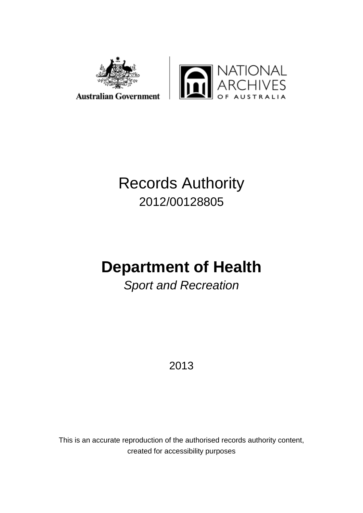



# Records Authority 2012/00128805

# **Department of Health**

*Sport and Recreation*

2013

This is an accurate reproduction of the authorised records authority content, created for accessibility purposes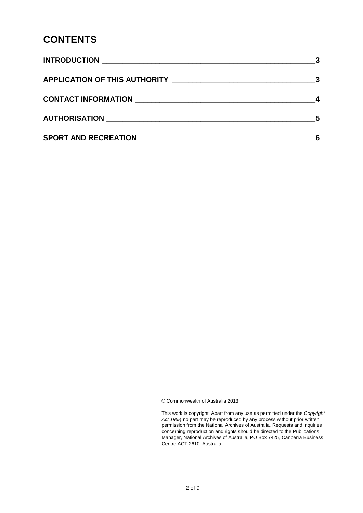### **CONTENTS**

|                                           | - 5 |
|-------------------------------------------|-----|
| SPORT AND RECREATION NAMES AND RECREATION |     |

© Commonwealth of Australia 2013

This work is copyright. Apart from any use as permitted under the *Copyright Act 1968,* no part may be reproduced by any process without prior written permission from the National Archives of Australia. Requests and inquiries concerning reproduction and rights should be directed to the Publications Manager, National Archives of Australia, PO Box 7425, Canberra Business Centre ACT 2610, Australia.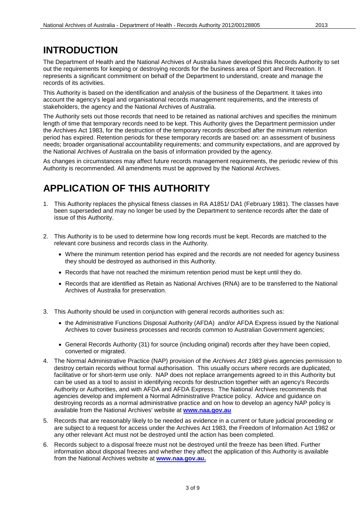### <span id="page-2-0"></span>**INTRODUCTION**

The Department of Health and the National Archives of Australia have developed this Records Authority to set out the requirements for keeping or destroying records for the business area of Sport and Recreation. It represents a significant commitment on behalf of the Department to understand, create and manage the records of its activities.

This Authority is based on the identification and analysis of the business of the Department. It takes into account the agency's legal and organisational records management requirements, and the interests of stakeholders, the agency and the National Archives of Australia.

The Authority sets out those records that need to be retained as national archives and specifies the minimum length of time that temporary records need to be kept. This Authority gives the Department permission under the Archives Act 1983, for the destruction of the temporary records described after the minimum retention period has expired. Retention periods for these temporary records are based on: an assessment of business needs; broader organisational accountability requirements; and community expectations, and are approved by the National Archives of Australia on the basis of information provided by the agency.

As changes in circumstances may affect future records management requirements, the periodic review of this Authority is recommended. All amendments must be approved by the National Archives.

### <span id="page-2-1"></span>**APPLICATION OF THIS AUTHORITY**

- 1. This Authority replaces the physical fitness classes in RA A1851/ DA1 (February 1981). The classes have been superseded and may no longer be used by the Department to sentence records after the date of issue of this Authority.
- 2. This Authority is to be used to determine how long records must be kept. Records are matched to the relevant core business and records class in the Authority.
	- Where the minimum retention period has expired and the records are not needed for agency business they should be destroyed as authorised in this Authority.
	- Records that have not reached the minimum retention period must be kept until they do.
	- Records that are identified as Retain as National Archives (RNA) are to be transferred to the National Archives of Australia for preservation.
- 3. This Authority should be used in conjunction with general records authorities such as:
	- the Administrative Functions Disposal Authority (AFDA) and/or AFDA Express issued by the National Archives to cover business processes and records common to Australian Government agencies;
	- General Records Authority (31) for source (including original) records after they have been copied, converted or migrated.
- 4. The Normal Administrative Practice (NAP) provision of the *Archives Act 1983* gives agencies permission to destroy certain records without formal authorisation. This usually occurs where records are duplicated, facilitative or for short-term use only. NAP does not replace arrangements agreed to in this Authority but can be used as a tool to assist in identifying records for destruction together with an agency's Records Authority or Authorities, and with AFDA and AFDA Express. The National Archives recommends that agencies develop and implement a Normal Administrative Practice policy. Advice and guidance on destroying records as a normal administrative practice and on how to develop an agency NAP policy is available from the National Archives' website at **[www.naa.gov.au](http://www.naa.gov.au/)**
- 5. Records that are reasonably likely to be needed as evidence in a current or future judicial proceeding or are subject to a request for access under the Archives Act 1983, the Freedom of Information Act 1982 or any other relevant Act must not be destroyed until the action has been completed.
- 6. Records subject to a disposal freeze must not be destroyed until the freeze has been lifted. Further information about disposal freezes and whether they affect the application of this Authority is available from the National Archives website at **[www.naa.gov.au.](http://naa.gov.au/records-management/agency/keep-destroy-transfer/../../../katherh2/Offline%20Records%20(TE)/Department%20~%20EVALUATION%20&%20DISPOSAL%20-%20DISPOSAL%20AUTHORISATION(3)/www.naa.gov.au.)**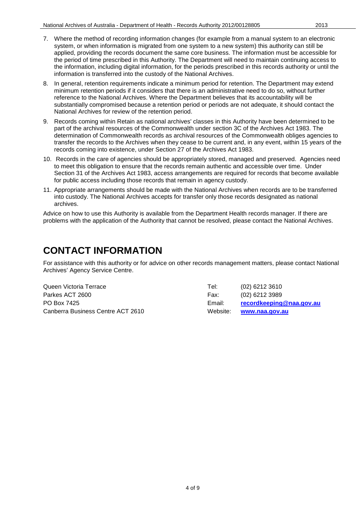- 7. Where the method of recording information changes (for example from a manual system to an electronic system, or when information is migrated from one system to a new system) this authority can still be applied, providing the records document the same core business. The information must be accessible for the period of time prescribed in this Authority. The Department will need to maintain continuing access to the information, including digital information, for the periods prescribed in this records authority or until the information is transferred into the custody of the National Archives.
- 8. In general, retention requirements indicate a minimum period for retention. The Department may extend minimum retention periods if it considers that there is an administrative need to do so, without further reference to the National Archives. Where the Department believes that its accountability will be substantially compromised because a retention period or periods are not adequate, it should contact the National Archives for review of the retention period.
- 9. Records coming within Retain as national archives' classes in this Authority have been determined to be part of the archival resources of the Commonwealth under section 3C of the Archives Act 1983. The determination of Commonwealth records as archival resources of the Commonwealth obliges agencies to transfer the records to the Archives when they cease to be current and, in any event, within 15 years of the records coming into existence, under Section 27 of the Archives Act 1983.
- 10. Records in the care of agencies should be appropriately stored, managed and preserved. Agencies need to meet this obligation to ensure that the records remain authentic and accessible over time. Under Section 31 of the Archives Act 1983, access arrangements are required for records that become available for public access including those records that remain in agency custody.
- 11. Appropriate arrangements should be made with the National Archives when records are to be transferred into custody. The National Archives accepts for transfer only those records designated as national archives.

Advice on how to use this Authority is available from the Department Health records manager. If there are problems with the application of the Authority that cannot be resolved, please contact the National Archives.

### <span id="page-3-0"></span>**CONTACT INFORMATION**

For assistance with this authority or for advice on other records management matters, please contact National Archives' Agency Service Centre.

| Queen Victoria Terrace            | Tel:     | $(02)$ 6212 3610         |
|-----------------------------------|----------|--------------------------|
| Parkes ACT 2600                   | Fax:     | $(02)$ 6212 3989         |
| PO Box 7425                       | Email:   | recordkeeping@naa.gov.au |
| Canberra Business Centre ACT 2610 | Website: | www.naa.gov.au           |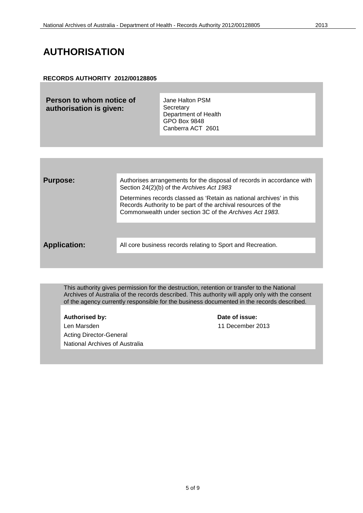### <span id="page-4-0"></span>**AUTHORISATION**

### **RECORDS AUTHORITY 2012/00128805**

**Person to whom notice of authorisation is given:**

Jane Halton PSM **Secretary** Department of Health GPO Box 9848 Canberra ACT 2601

| <b>Purpose:</b>     | Authorises arrangements for the disposal of records in accordance with<br>Section 24(2)(b) of the Archives Act 1983                                                                             |
|---------------------|-------------------------------------------------------------------------------------------------------------------------------------------------------------------------------------------------|
|                     | Determines records classed as 'Retain as national archives' in this<br>Records Authority to be part of the archival resources of the<br>Commonwealth under section 3C of the Archives Act 1983. |
|                     |                                                                                                                                                                                                 |
| <b>Application:</b> | All core business records relating to Sport and Recreation.                                                                                                                                     |
|                     |                                                                                                                                                                                                 |

This authority gives permission for the destruction, retention or transfer to the National Archives of Australia of the records described. This authority will apply only with the consent of the agency currently responsible for the business documented in the records described.

Len Marsden 11 December 2013 Acting Director-General National Archives of Australia

**Authorised by: Date of issue:**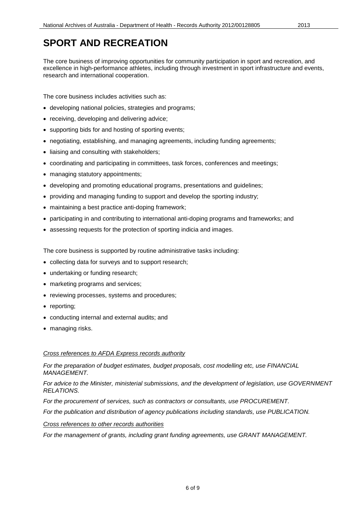<span id="page-5-0"></span>The core business of improving opportunities for community participation in sport and recreation, and excellence in high-performance athletes, including through investment in sport infrastructure and events, research and international cooperation.

The core business includes activities such as:

- developing national policies, strategies and programs;
- receiving, developing and delivering advice;
- supporting bids for and hosting of sporting events;
- negotiating, establishing, and managing agreements, including funding agreements;
- liaising and consulting with stakeholders:
- coordinating and participating in committees, task forces, conferences and meetings;
- managing statutory appointments;
- developing and promoting educational programs, presentations and guidelines;
- providing and managing funding to support and develop the sporting industry;
- maintaining a best practice anti-doping framework;
- participating in and contributing to international anti-doping programs and frameworks; and
- assessing requests for the protection of sporting indicia and images.

The core business is supported by routine administrative tasks including:

- collecting data for surveys and to support research;
- undertaking or funding research;
- marketing programs and services;
- reviewing processes, systems and procedures;
- reporting;
- conducting internal and external audits; and
- managing risks.

### *Cross references to AFDA Express records authority*

*For the preparation of budget estimates, budget proposals, cost modelling etc, use FINANCIAL MANAGEMENT.*

*For advice to the Minister, ministerial submissions, and the development of legislation, use GOVERNMENT RELATIONS.*

*For the procurement of services, such as contractors or consultants, use PROCUREMENT.* 

*For the publication and distribution of agency publications including standards, use PUBLICATION.* 

### *Cross references to other records authorities*

*For the management of grants, including grant funding agreements, use GRANT MANAGEMENT.*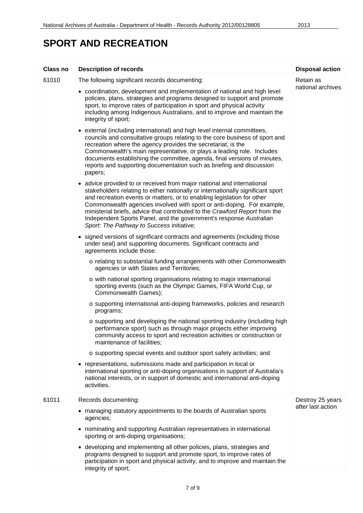| <b>Class no</b> | <b>Description of records</b>                                                                                                                                                                                                                                                                                                                                                                                                                                                                                   | <b>Disposal action</b>                |
|-----------------|-----------------------------------------------------------------------------------------------------------------------------------------------------------------------------------------------------------------------------------------------------------------------------------------------------------------------------------------------------------------------------------------------------------------------------------------------------------------------------------------------------------------|---------------------------------------|
| 61010           | The following significant records documenting:<br>• coordination, development and implementation of national and high level                                                                                                                                                                                                                                                                                                                                                                                     | Retain as<br>national archives        |
|                 | policies, plans, strategies and programs designed to support and promote<br>sport, to improve rates of participation in sport and physical activity<br>including among Indigenous Australians, and to improve and maintain the<br>integrity of sport;                                                                                                                                                                                                                                                           |                                       |
|                 | • external (including international) and high level internal committees,<br>councils and consultative groups relating to the core business of sport and<br>recreation where the agency provides the secretariat, is the<br>Commonwealth's main representative, or plays a leading role. Includes<br>documents establishing the committee, agenda, final versions of minutes,<br>reports and supporting documentation such as briefing and discussion<br>papers;                                                 |                                       |
|                 | • advice provided to or received from major national and international<br>stakeholders relating to either nationally or internationally significant sport<br>and recreation events or matters, or to enabling legislation for other<br>Commonwealth agencies involved with sport or anti-doping. For example,<br>ministerial briefs, advice that contributed to the Crawford Report from the<br>Independent Sports Panel, and the government's response Australian<br>Sport: The Pathway to Success initiative; |                                       |
|                 | signed versions of significant contracts and agreements (including those<br>under seal) and supporting documents. Significant contracts and<br>agreements include those:                                                                                                                                                                                                                                                                                                                                        |                                       |
|                 | o relating to substantial funding arrangements with other Commonwealth<br>agencies or with States and Territories;                                                                                                                                                                                                                                                                                                                                                                                              |                                       |
|                 | o with national sporting organisations relating to major international<br>sporting events (such as the Olympic Games, FIFA World Cup, or<br>Commonwealth Games);                                                                                                                                                                                                                                                                                                                                                |                                       |
|                 | o supporting international anti-doping frameworks, policies and research<br>programs;                                                                                                                                                                                                                                                                                                                                                                                                                           |                                       |
|                 | o supporting and developing the national sporting industry (including high<br>performance sport) such as through major projects either improving<br>community access to sport and recreation activities or construction or<br>maintenance of facilities;                                                                                                                                                                                                                                                        |                                       |
|                 | o supporting special events and outdoor sport safety activities; and                                                                                                                                                                                                                                                                                                                                                                                                                                            |                                       |
|                 | • representations, submissions made and participation in local or<br>international sporting or anti-doping organisations in support of Australia's<br>national interests, or in support of domestic and international anti-doping<br>activities.                                                                                                                                                                                                                                                                |                                       |
| 61011           | Records documenting:                                                                                                                                                                                                                                                                                                                                                                                                                                                                                            | Destroy 25 years<br>after last action |
|                 | • managing statutory appointments to the boards of Australian sports<br>agencies;                                                                                                                                                                                                                                                                                                                                                                                                                               |                                       |
|                 | • nominating and supporting Australian representatives in international<br>sporting or anti-doping organisations;                                                                                                                                                                                                                                                                                                                                                                                               |                                       |
|                 | • developing and implementing all other policies, plans, strategies and<br>programs designed to support and promote sport, to improve rates of<br>participation in sport and physical activity, and to improve and maintain the<br>integrity of sport;                                                                                                                                                                                                                                                          |                                       |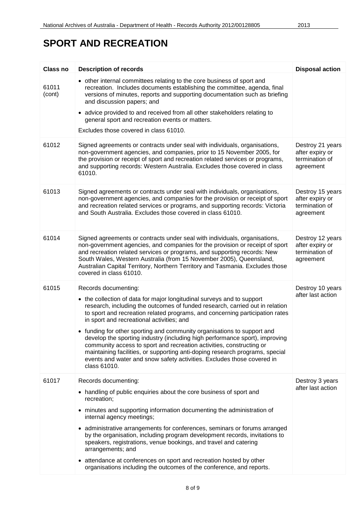| <b>Class no</b> | <b>Description of records</b>                                                                                                                                                                                                                                                                                                                                                                                                                                                                                                                                                                                                                                                                                           | <b>Disposal action</b>                                             |
|-----------------|-------------------------------------------------------------------------------------------------------------------------------------------------------------------------------------------------------------------------------------------------------------------------------------------------------------------------------------------------------------------------------------------------------------------------------------------------------------------------------------------------------------------------------------------------------------------------------------------------------------------------------------------------------------------------------------------------------------------------|--------------------------------------------------------------------|
| 61011<br>(cont) | • other internal committees relating to the core business of sport and<br>recreation. Includes documents establishing the committee, agenda, final<br>versions of minutes, reports and supporting documentation such as briefing<br>and discussion papers; and                                                                                                                                                                                                                                                                                                                                                                                                                                                          |                                                                    |
|                 | • advice provided to and received from all other stakeholders relating to<br>general sport and recreation events or matters.<br>Excludes those covered in class 61010.                                                                                                                                                                                                                                                                                                                                                                                                                                                                                                                                                  |                                                                    |
|                 |                                                                                                                                                                                                                                                                                                                                                                                                                                                                                                                                                                                                                                                                                                                         |                                                                    |
| 61012           | Signed agreements or contracts under seal with individuals, organisations,<br>non-government agencies, and companies, prior to 15 November 2005, for<br>the provision or receipt of sport and recreation related services or programs,<br>and supporting records: Western Australia. Excludes those covered in class<br>61010.                                                                                                                                                                                                                                                                                                                                                                                          | Destroy 21 years<br>after expiry or<br>termination of<br>agreement |
| 61013           | Signed agreements or contracts under seal with individuals, organisations,<br>non-government agencies, and companies for the provision or receipt of sport<br>and recreation related services or programs, and supporting records: Victoria<br>and South Australia. Excludes those covered in class 61010.                                                                                                                                                                                                                                                                                                                                                                                                              | Destroy 15 years<br>after expiry or<br>termination of<br>agreement |
| 61014           | Signed agreements or contracts under seal with individuals, organisations,<br>non-government agencies, and companies for the provision or receipt of sport<br>and recreation related services or programs, and supporting records: New<br>South Wales, Western Australia (from 15 November 2005), Queensland,<br>Australian Capital Territory, Northern Territory and Tasmania. Excludes those<br>covered in class 61010.                                                                                                                                                                                                                                                                                               | Destroy 12 years<br>after expiry or<br>termination of<br>agreement |
| 61015           | Records documenting:<br>• the collection of data for major longitudinal surveys and to support<br>research, including the outcomes of funded research, carried out in relation<br>to sport and recreation related programs, and concerning participation rates<br>in sport and recreational activities; and<br>• funding for other sporting and community organisations to support and<br>develop the sporting industry (including high performance sport), improving<br>community access to sport and recreation activities, constructing or<br>maintaining facilities, or supporting anti-doping research programs, special<br>events and water and snow safety activities. Excludes those covered in<br>class 61010. | Destroy 10 years<br>after last action                              |
| 61017           | Records documenting:<br>• handling of public enquiries about the core business of sport and<br>recreation;<br>• minutes and supporting information documenting the administration of<br>internal agency meetings;<br>• administrative arrangements for conferences, seminars or forums arranged<br>by the organisation, including program development records, invitations to<br>speakers, registrations, venue bookings, and travel and catering<br>arrangements; and<br>• attendance at conferences on sport and recreation hosted by other<br>organisations including the outcomes of the conference, and reports.                                                                                                   | Destroy 3 years<br>after last action                               |